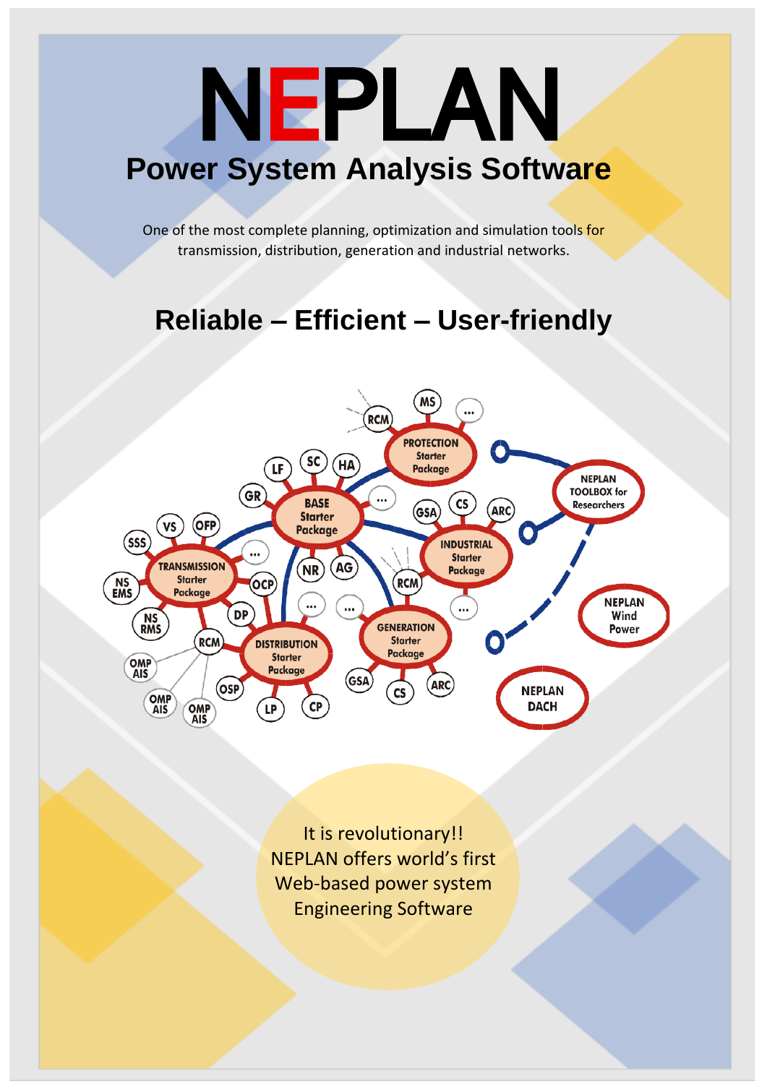# NEPLAN **Power System Analysis Software**

One of the most complete planning, optimization and simulation tools for transmission, distribution, generation and industrial networks.

# **Reliable – Efficient – User-friendly**



It is revolutionary!! NEPLAN offers world's first Web-based power system Engineering Software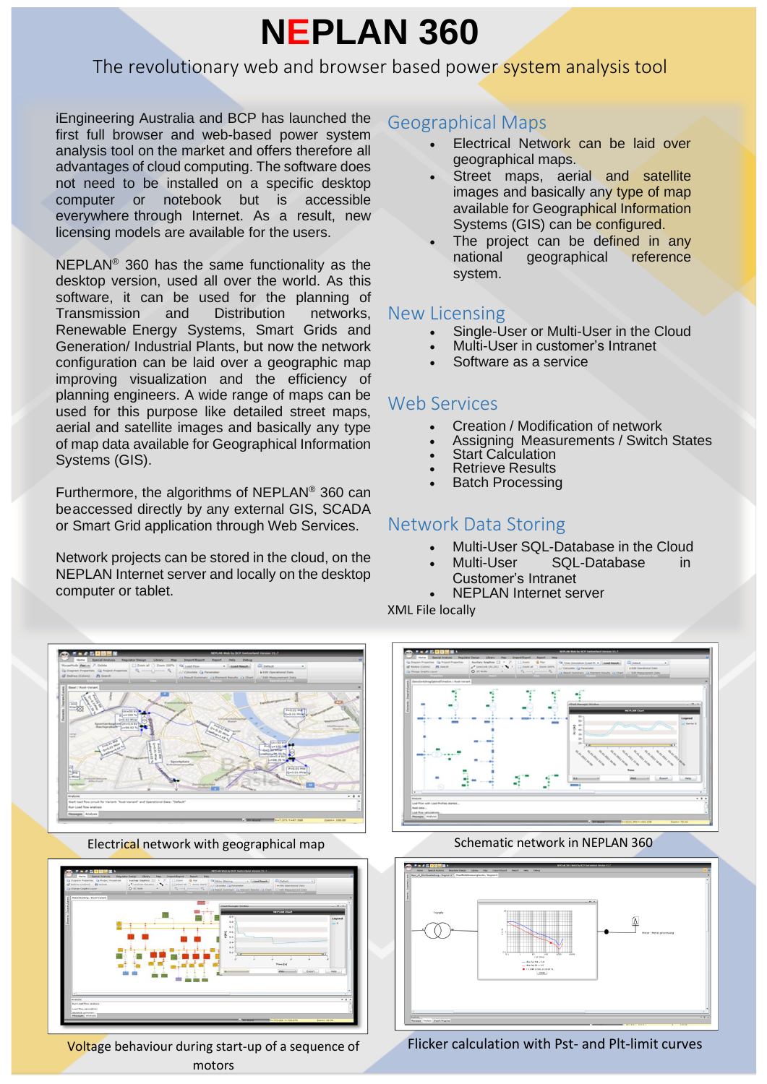# **NEPLAN 360**

# The revolutionary web and browser based power system analysis tool

iEngineering Australia and BCP has launched the first full browser and web-based power system analysis tool on the market and offers therefore all advantages of cloud computing. The software does not need to be installed on a specific desktop computer or notebook but is accessible everywhere through Internet. As a result, new licensing models are available for the users.

NEPLAN® 360 has the same functionality as the desktop version, used all over the world. As this software, it can be used for the planning of Transmission and Distribution networks, Renewable Energy Systems, Smart Grids and Generation/ Industrial Plants, but now the network configuration can be laid over a geographic map improving visualization and the efficiency of planning engineers. A wide range of maps can be used for this purpose like detailed street maps, aerial and satellite images and basically any type of map data available for Geographical Information Systems (GIS).

Furthermore, the algorithms of NEPLAN® 360 can beaccessed directly by any external GIS, SCADA or Smart Grid application through Web Services.

Network projects can be stored in the cloud, on the NEPLAN Internet server and locally on the desktop computer or tablet.

## Geographical Maps

- Electrical Network can be laid over geographical maps.
- Street maps, aerial and satellite images and basically any type of map available for Geographical Information Systems (GIS) can be configured.
- The project can be defined in any national geographical reference system.

## New Licensing

- Single-User or Multi-User in the Cloud
- Multi-User in customer's Intranet
- Software as a service

## Web Services

- Creation / Modification of network
- Assigning Measurements / Switch States
- **Start Calculation**
- **Retrieve Results**
- **Batch Processing**

# Network Data Storing

- Multi-User SQL-Database in the Cloud
- Multi-User SQL-Database in Customer's Intranet
- NEPLAN Internet server

XML File locally



Electrical network with geographical map Schematic network in NEPLAN 360



Voltage behaviour during start-up of a sequence of motors







Flicker calculation with Pst- and Plt-limit curves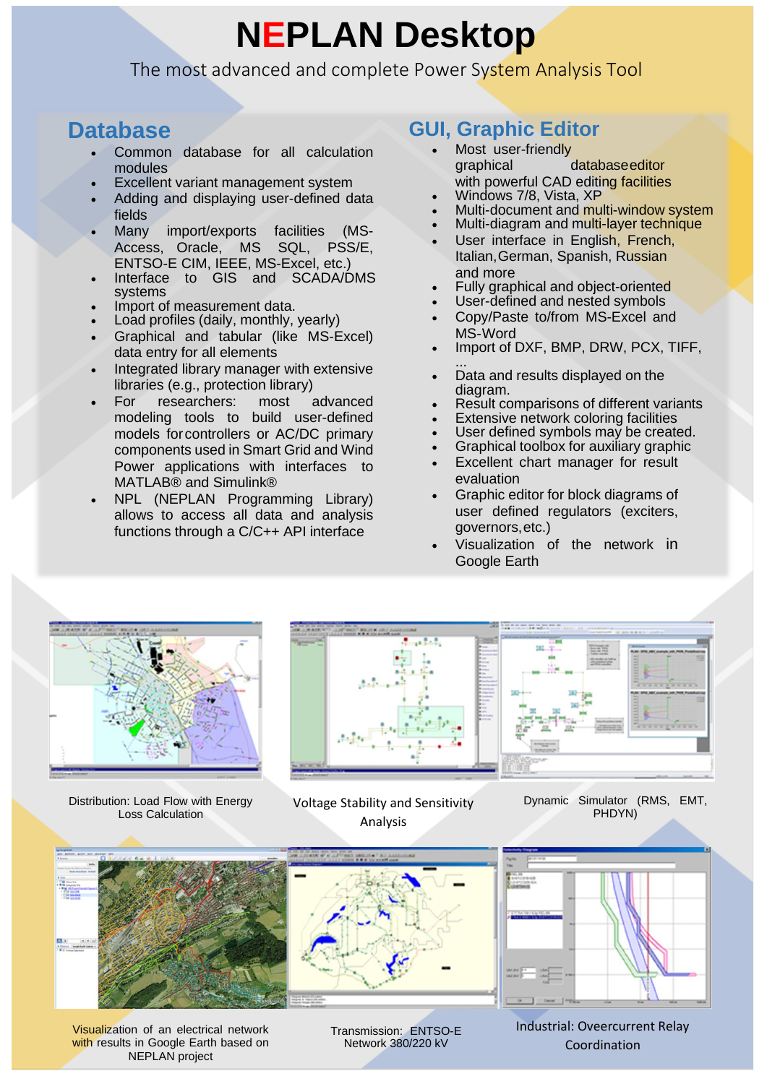# **NEPLAN Desktop**

The most advanced and complete Power System Analysis Tool

# **Database**

- Common database for all calculation modules
- Excellent variant management system
- Adding and displaying user-defined data fields
- Many import/exports facilities (MS-Access, Oracle, MS SQL, PSS/E, ENTSO-E CIM, IEEE, MS-Excel, etc.)
- Interface to GIS and SCADA/DMS systems
- Import of measurement data.
- Load profiles (daily, monthly, yearly)
- Graphical and tabular (like MS-Excel) data entry for all elements
- Integrated library manager with extensive libraries (e.g., protection library)
- For researchers: most advanced modeling tools to build user-defined models forcontrollers or AC/DC primary components used in Smart Grid and Wind Power applications with interfaces to MATLAB® and Simulink®
- NPL (NEPLAN Programming Library) allows to access all data and analysis functions through a C/C++ API interface

# **GUI, Graphic Editor**

- Most user-friendly graphical databaseeditor with powerful CAD editing facilities
- Windows 7/8, Vista, XP
- Multi-document and multi-window system
- Multi-diagram and multi-layer technique
- User interface in English, French, Italian,German, Spanish, Russian and more
- Fully graphical and object-oriented
- User-defined and nested symbols
- Copy/Paste to/from MS-Excel and MS-Word
- Import of DXF, BMP, DRW, PCX, TIFF,
- ... • Data and results displayed on the diagram.
- Result comparisons of different variants
- **Extensive network coloring facilities**
- User defined symbols may be created.
- Graphical toolbox for auxiliary graphic
- Excellent chart manager for result evaluation
- Graphic editor for block diagrams of user defined regulators (exciters, governors,etc.)
- Visualization of the network in Google Earth



Distribution: Load Flow with Energy Loss Calculation

Voltage Stability and Sensitivity Analysis



Dynamic Simulator (RMS, EMT, PHDYN)



Visualization of an electrical network with results in Google Earth based on NEPLAN project

Transmission: ENTSO-E Network 380/220 kV

Industrial: Oveercurrent Relay Coordination